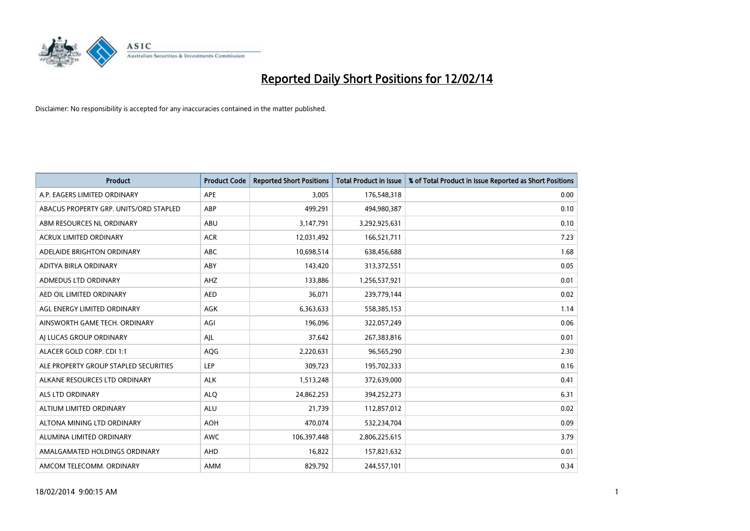

| <b>Product</b>                         | <b>Product Code</b> | <b>Reported Short Positions</b> | <b>Total Product in Issue</b> | % of Total Product in Issue Reported as Short Positions |
|----------------------------------------|---------------------|---------------------------------|-------------------------------|---------------------------------------------------------|
| A.P. EAGERS LIMITED ORDINARY           | APE                 | 3,005                           | 176,548,318                   | 0.00                                                    |
| ABACUS PROPERTY GRP. UNITS/ORD STAPLED | ABP                 | 499,291                         | 494,980,387                   | 0.10                                                    |
| ABM RESOURCES NL ORDINARY              | ABU                 | 3,147,791                       | 3,292,925,631                 | 0.10                                                    |
| <b>ACRUX LIMITED ORDINARY</b>          | <b>ACR</b>          | 12,031,492                      | 166,521,711                   | 7.23                                                    |
| ADELAIDE BRIGHTON ORDINARY             | <b>ABC</b>          | 10,698,514                      | 638,456,688                   | 1.68                                                    |
| ADITYA BIRLA ORDINARY                  | ABY                 | 143,420                         | 313,372,551                   | 0.05                                                    |
| ADMEDUS LTD ORDINARY                   | AHZ                 | 133,886                         | 1,256,537,921                 | 0.01                                                    |
| AED OIL LIMITED ORDINARY               | <b>AED</b>          | 36,071                          | 239,779,144                   | 0.02                                                    |
| AGL ENERGY LIMITED ORDINARY            | <b>AGK</b>          | 6,363,633                       | 558,385,153                   | 1.14                                                    |
| AINSWORTH GAME TECH. ORDINARY          | AGI                 | 196,096                         | 322,057,249                   | 0.06                                                    |
| AJ LUCAS GROUP ORDINARY                | AJL                 | 37,642                          | 267,383,816                   | 0.01                                                    |
| ALACER GOLD CORP. CDI 1:1              | AQG                 | 2,220,631                       | 96,565,290                    | 2.30                                                    |
| ALE PROPERTY GROUP STAPLED SECURITIES  | <b>LEP</b>          | 309,723                         | 195,702,333                   | 0.16                                                    |
| ALKANE RESOURCES LTD ORDINARY          | <b>ALK</b>          | 1,513,248                       | 372,639,000                   | 0.41                                                    |
| ALS LTD ORDINARY                       | <b>ALQ</b>          | 24,862,253                      | 394,252,273                   | 6.31                                                    |
| ALTIUM LIMITED ORDINARY                | <b>ALU</b>          | 21,739                          | 112,857,012                   | 0.02                                                    |
| ALTONA MINING LTD ORDINARY             | <b>AOH</b>          | 470,074                         | 532,234,704                   | 0.09                                                    |
| ALUMINA LIMITED ORDINARY               | <b>AWC</b>          | 106,397,448                     | 2,806,225,615                 | 3.79                                                    |
| AMALGAMATED HOLDINGS ORDINARY          | AHD                 | 16,822                          | 157,821,632                   | 0.01                                                    |
| AMCOM TELECOMM, ORDINARY               | AMM                 | 829,792                         | 244,557,101                   | 0.34                                                    |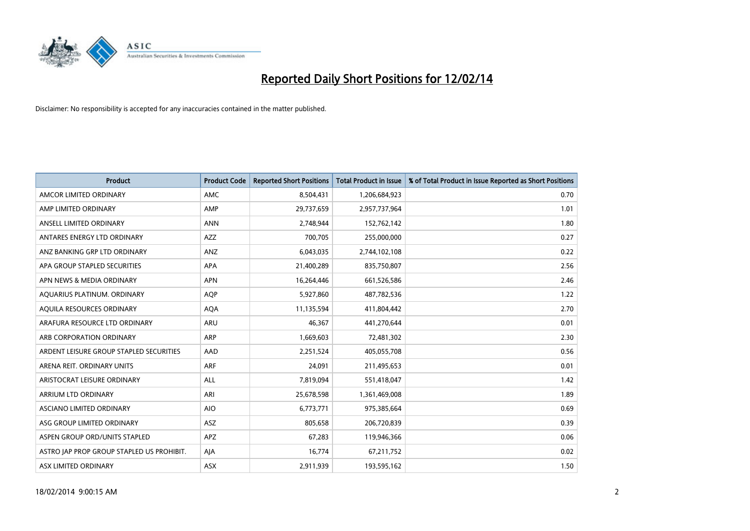

| <b>Product</b>                            | <b>Product Code</b> | <b>Reported Short Positions</b> | <b>Total Product in Issue</b> | % of Total Product in Issue Reported as Short Positions |
|-------------------------------------------|---------------------|---------------------------------|-------------------------------|---------------------------------------------------------|
| AMCOR LIMITED ORDINARY                    | <b>AMC</b>          | 8,504,431                       | 1,206,684,923                 | 0.70                                                    |
| AMP LIMITED ORDINARY                      | AMP                 | 29,737,659                      | 2,957,737,964                 | 1.01                                                    |
| ANSELL LIMITED ORDINARY                   | <b>ANN</b>          | 2,748,944                       | 152,762,142                   | 1.80                                                    |
| ANTARES ENERGY LTD ORDINARY               | <b>AZZ</b>          | 700,705                         | 255,000,000                   | 0.27                                                    |
| ANZ BANKING GRP LTD ORDINARY              | ANZ                 | 6,043,035                       | 2,744,102,108                 | 0.22                                                    |
| APA GROUP STAPLED SECURITIES              | <b>APA</b>          | 21,400,289                      | 835,750,807                   | 2.56                                                    |
| APN NEWS & MEDIA ORDINARY                 | <b>APN</b>          | 16,264,446                      | 661,526,586                   | 2.46                                                    |
| AQUARIUS PLATINUM. ORDINARY               | <b>AOP</b>          | 5,927,860                       | 487,782,536                   | 1.22                                                    |
| AQUILA RESOURCES ORDINARY                 | <b>AQA</b>          | 11,135,594                      | 411,804,442                   | 2.70                                                    |
| ARAFURA RESOURCE LTD ORDINARY             | ARU                 | 46,367                          | 441,270,644                   | 0.01                                                    |
| ARB CORPORATION ORDINARY                  | ARP                 | 1,669,603                       | 72,481,302                    | 2.30                                                    |
| ARDENT LEISURE GROUP STAPLED SECURITIES   | AAD                 | 2,251,524                       | 405,055,708                   | 0.56                                                    |
| ARENA REIT. ORDINARY UNITS                | ARF                 | 24,091                          | 211,495,653                   | 0.01                                                    |
| ARISTOCRAT LEISURE ORDINARY               | ALL                 | 7,819,094                       | 551,418,047                   | 1.42                                                    |
| ARRIUM LTD ORDINARY                       | ARI                 | 25,678,598                      | 1,361,469,008                 | 1.89                                                    |
| ASCIANO LIMITED ORDINARY                  | <b>AIO</b>          | 6,773,771                       | 975,385,664                   | 0.69                                                    |
| ASG GROUP LIMITED ORDINARY                | ASZ                 | 805,658                         | 206,720,839                   | 0.39                                                    |
| ASPEN GROUP ORD/UNITS STAPLED             | <b>APZ</b>          | 67,283                          | 119,946,366                   | 0.06                                                    |
| ASTRO JAP PROP GROUP STAPLED US PROHIBIT. | AJA                 | 16,774                          | 67,211,752                    | 0.02                                                    |
| ASX LIMITED ORDINARY                      | ASX                 | 2,911,939                       | 193,595,162                   | 1.50                                                    |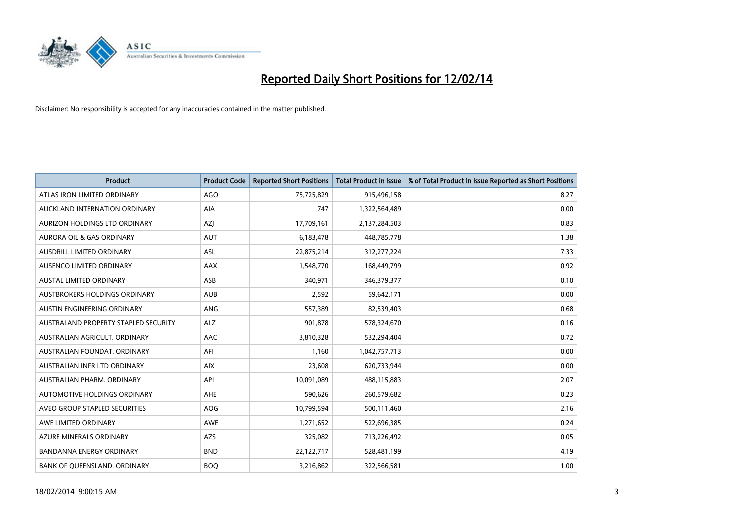

| <b>Product</b>                       | <b>Product Code</b> | <b>Reported Short Positions</b> | <b>Total Product in Issue</b> | % of Total Product in Issue Reported as Short Positions |
|--------------------------------------|---------------------|---------------------------------|-------------------------------|---------------------------------------------------------|
| ATLAS IRON LIMITED ORDINARY          | AGO                 | 75,725,829                      | 915,496,158                   | 8.27                                                    |
| AUCKLAND INTERNATION ORDINARY        | AIA                 | 747                             | 1,322,564,489                 | 0.00                                                    |
| AURIZON HOLDINGS LTD ORDINARY        | AZJ                 | 17,709,161                      | 2,137,284,503                 | 0.83                                                    |
| AURORA OIL & GAS ORDINARY            | <b>AUT</b>          | 6,183,478                       | 448,785,778                   | 1.38                                                    |
| <b>AUSDRILL LIMITED ORDINARY</b>     | ASL                 | 22,875,214                      | 312,277,224                   | 7.33                                                    |
| AUSENCO LIMITED ORDINARY             | AAX                 | 1,548,770                       | 168,449,799                   | 0.92                                                    |
| <b>AUSTAL LIMITED ORDINARY</b>       | ASB                 | 340,971                         | 346,379,377                   | 0.10                                                    |
| AUSTBROKERS HOLDINGS ORDINARY        | <b>AUB</b>          | 2,592                           | 59,642,171                    | 0.00                                                    |
| AUSTIN ENGINEERING ORDINARY          | <b>ANG</b>          | 557,389                         | 82,539,403                    | 0.68                                                    |
| AUSTRALAND PROPERTY STAPLED SECURITY | <b>ALZ</b>          | 901,878                         | 578,324,670                   | 0.16                                                    |
| AUSTRALIAN AGRICULT. ORDINARY        | AAC                 | 3,810,328                       | 532,294,404                   | 0.72                                                    |
| AUSTRALIAN FOUNDAT, ORDINARY         | AFI                 | 1,160                           | 1,042,757,713                 | 0.00                                                    |
| AUSTRALIAN INFR LTD ORDINARY         | <b>AIX</b>          | 23,608                          | 620,733,944                   | 0.00                                                    |
| AUSTRALIAN PHARM, ORDINARY           | API                 | 10,091,089                      | 488,115,883                   | 2.07                                                    |
| <b>AUTOMOTIVE HOLDINGS ORDINARY</b>  | <b>AHE</b>          | 590,626                         | 260,579,682                   | 0.23                                                    |
| AVEO GROUP STAPLED SECURITIES        | AOG                 | 10,799,594                      | 500,111,460                   | 2.16                                                    |
| AWE LIMITED ORDINARY                 | AWE                 | 1,271,652                       | 522,696,385                   | 0.24                                                    |
| AZURE MINERALS ORDINARY              | <b>AZS</b>          | 325,082                         | 713,226,492                   | 0.05                                                    |
| <b>BANDANNA ENERGY ORDINARY</b>      | <b>BND</b>          | 22,122,717                      | 528,481,199                   | 4.19                                                    |
| BANK OF QUEENSLAND. ORDINARY         | <b>BOO</b>          | 3,216,862                       | 322,566,581                   | 1.00                                                    |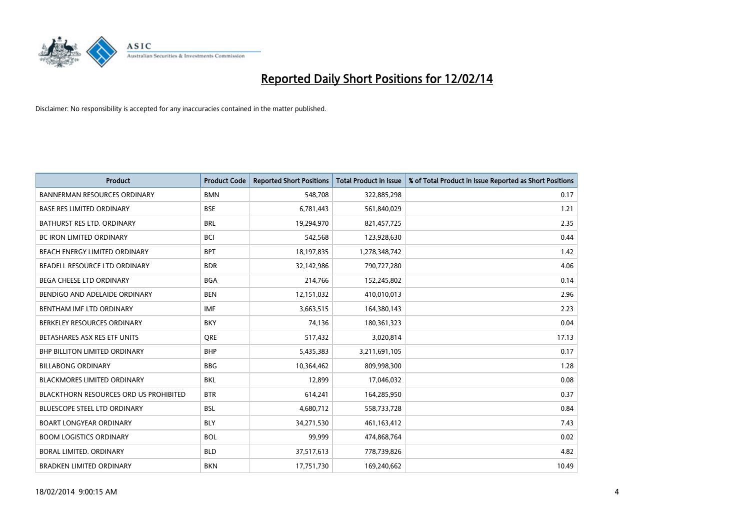

| <b>Product</b>                                | <b>Product Code</b> | <b>Reported Short Positions</b> | <b>Total Product in Issue</b> | % of Total Product in Issue Reported as Short Positions |
|-----------------------------------------------|---------------------|---------------------------------|-------------------------------|---------------------------------------------------------|
| <b>BANNERMAN RESOURCES ORDINARY</b>           | <b>BMN</b>          | 548,708                         | 322,885,298                   | 0.17                                                    |
| <b>BASE RES LIMITED ORDINARY</b>              | <b>BSE</b>          | 6,781,443                       | 561,840,029                   | 1.21                                                    |
| BATHURST RES LTD. ORDINARY                    | <b>BRL</b>          | 19,294,970                      | 821,457,725                   | 2.35                                                    |
| <b>BC IRON LIMITED ORDINARY</b>               | <b>BCI</b>          | 542,568                         | 123,928,630                   | 0.44                                                    |
| BEACH ENERGY LIMITED ORDINARY                 | <b>BPT</b>          | 18,197,835                      | 1,278,348,742                 | 1.42                                                    |
| BEADELL RESOURCE LTD ORDINARY                 | <b>BDR</b>          | 32,142,986                      | 790,727,280                   | 4.06                                                    |
| <b>BEGA CHEESE LTD ORDINARY</b>               | <b>BGA</b>          | 214,766                         | 152,245,802                   | 0.14                                                    |
| BENDIGO AND ADELAIDE ORDINARY                 | <b>BEN</b>          | 12,151,032                      | 410,010,013                   | 2.96                                                    |
| BENTHAM IMF LTD ORDINARY                      | <b>IMF</b>          | 3,663,515                       | 164,380,143                   | 2.23                                                    |
| BERKELEY RESOURCES ORDINARY                   | <b>BKY</b>          | 74,136                          | 180,361,323                   | 0.04                                                    |
| BETASHARES ASX RES ETF UNITS                  | <b>ORE</b>          | 517,432                         | 3,020,814                     | 17.13                                                   |
| BHP BILLITON LIMITED ORDINARY                 | <b>BHP</b>          | 5,435,383                       | 3,211,691,105                 | 0.17                                                    |
| <b>BILLABONG ORDINARY</b>                     | <b>BBG</b>          | 10,364,462                      | 809,998,300                   | 1.28                                                    |
| <b>BLACKMORES LIMITED ORDINARY</b>            | <b>BKL</b>          | 12,899                          | 17,046,032                    | 0.08                                                    |
| <b>BLACKTHORN RESOURCES ORD US PROHIBITED</b> | <b>BTR</b>          | 614,241                         | 164,285,950                   | 0.37                                                    |
| BLUESCOPE STEEL LTD ORDINARY                  | <b>BSL</b>          | 4,680,712                       | 558,733,728                   | 0.84                                                    |
| <b>BOART LONGYEAR ORDINARY</b>                | <b>BLY</b>          | 34,271,530                      | 461,163,412                   | 7.43                                                    |
| <b>BOOM LOGISTICS ORDINARY</b>                | <b>BOL</b>          | 99,999                          | 474,868,764                   | 0.02                                                    |
| <b>BORAL LIMITED, ORDINARY</b>                | <b>BLD</b>          | 37,517,613                      | 778,739,826                   | 4.82                                                    |
| <b>BRADKEN LIMITED ORDINARY</b>               | <b>BKN</b>          | 17,751,730                      | 169,240,662                   | 10.49                                                   |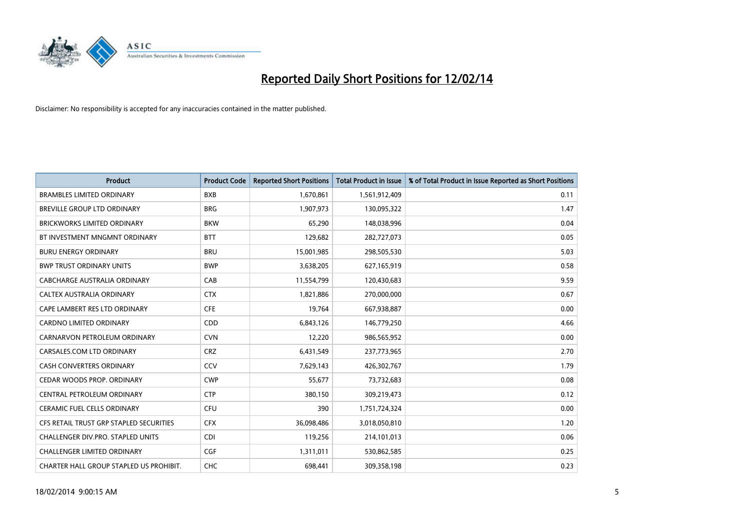

| <b>Product</b>                          | <b>Product Code</b> | <b>Reported Short Positions</b> | Total Product in Issue | % of Total Product in Issue Reported as Short Positions |
|-----------------------------------------|---------------------|---------------------------------|------------------------|---------------------------------------------------------|
| <b>BRAMBLES LIMITED ORDINARY</b>        | <b>BXB</b>          | 1,670,861                       | 1,561,912,409          | 0.11                                                    |
| BREVILLE GROUP LTD ORDINARY             | <b>BRG</b>          | 1,907,973                       | 130,095,322            | 1.47                                                    |
| <b>BRICKWORKS LIMITED ORDINARY</b>      | <b>BKW</b>          | 65,290                          | 148,038,996            | 0.04                                                    |
| BT INVESTMENT MNGMNT ORDINARY           | <b>BTT</b>          | 129,682                         | 282,727,073            | 0.05                                                    |
| <b>BURU ENERGY ORDINARY</b>             | <b>BRU</b>          | 15,001,985                      | 298,505,530            | 5.03                                                    |
| <b>BWP TRUST ORDINARY UNITS</b>         | <b>BWP</b>          | 3,638,205                       | 627,165,919            | 0.58                                                    |
| <b>CABCHARGE AUSTRALIA ORDINARY</b>     | CAB                 | 11,554,799                      | 120,430,683            | 9.59                                                    |
| <b>CALTEX AUSTRALIA ORDINARY</b>        | <b>CTX</b>          | 1,821,886                       | 270,000,000            | 0.67                                                    |
| CAPE LAMBERT RES LTD ORDINARY           | <b>CFE</b>          | 19,764                          | 667,938,887            | 0.00                                                    |
| <b>CARDNO LIMITED ORDINARY</b>          | CDD                 | 6,843,126                       | 146,779,250            | 4.66                                                    |
| CARNARVON PETROLEUM ORDINARY            | <b>CVN</b>          | 12,220                          | 986,565,952            | 0.00                                                    |
| CARSALES.COM LTD ORDINARY               | <b>CRZ</b>          | 6,431,549                       | 237,773,965            | 2.70                                                    |
| <b>CASH CONVERTERS ORDINARY</b>         | CCV                 | 7,629,143                       | 426,302,767            | 1.79                                                    |
| CEDAR WOODS PROP. ORDINARY              | <b>CWP</b>          | 55,677                          | 73,732,683             | 0.08                                                    |
| CENTRAL PETROLEUM ORDINARY              | <b>CTP</b>          | 380,150                         | 309,219,473            | 0.12                                                    |
| <b>CERAMIC FUEL CELLS ORDINARY</b>      | <b>CFU</b>          | 390                             | 1,751,724,324          | 0.00                                                    |
| CFS RETAIL TRUST GRP STAPLED SECURITIES | <b>CFX</b>          | 36,098,486                      | 3,018,050,810          | 1.20                                                    |
| CHALLENGER DIV.PRO. STAPLED UNITS       | <b>CDI</b>          | 119,256                         | 214,101,013            | 0.06                                                    |
| <b>CHALLENGER LIMITED ORDINARY</b>      | <b>CGF</b>          | 1,311,011                       | 530,862,585            | 0.25                                                    |
| CHARTER HALL GROUP STAPLED US PROHIBIT. | <b>CHC</b>          | 698,441                         | 309,358,198            | 0.23                                                    |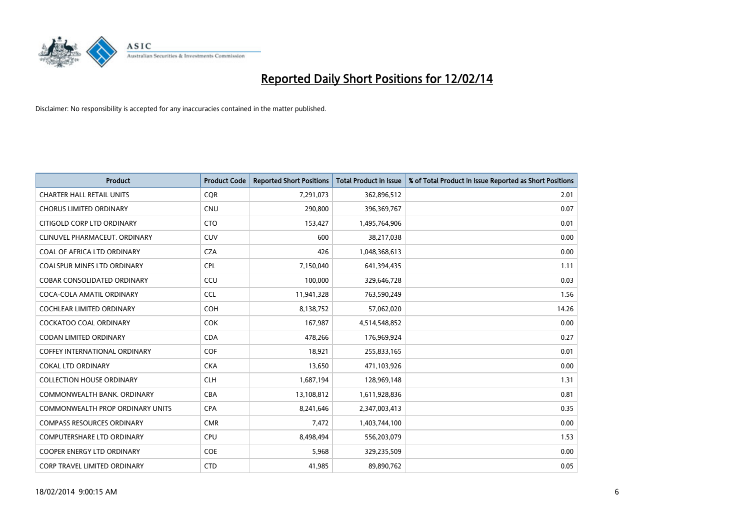

| <b>Product</b>                          | <b>Product Code</b> | <b>Reported Short Positions</b> | <b>Total Product in Issue</b> | % of Total Product in Issue Reported as Short Positions |
|-----------------------------------------|---------------------|---------------------------------|-------------------------------|---------------------------------------------------------|
| <b>CHARTER HALL RETAIL UNITS</b>        | <b>COR</b>          | 7,291,073                       | 362,896,512                   | 2.01                                                    |
| <b>CHORUS LIMITED ORDINARY</b>          | <b>CNU</b>          | 290,800                         | 396,369,767                   | 0.07                                                    |
| CITIGOLD CORP LTD ORDINARY              | <b>CTO</b>          | 153,427                         | 1,495,764,906                 | 0.01                                                    |
| CLINUVEL PHARMACEUT. ORDINARY           | <b>CUV</b>          | 600                             | 38,217,038                    | 0.00                                                    |
| COAL OF AFRICA LTD ORDINARY             | <b>CZA</b>          | 426                             | 1,048,368,613                 | 0.00                                                    |
| <b>COALSPUR MINES LTD ORDINARY</b>      | <b>CPL</b>          | 7,150,040                       | 641,394,435                   | 1.11                                                    |
| <b>COBAR CONSOLIDATED ORDINARY</b>      | CCU                 | 100,000                         | 329,646,728                   | 0.03                                                    |
| COCA-COLA AMATIL ORDINARY               | <b>CCL</b>          | 11,941,328                      | 763,590,249                   | 1.56                                                    |
| <b>COCHLEAR LIMITED ORDINARY</b>        | <b>COH</b>          | 8,138,752                       | 57,062,020                    | 14.26                                                   |
| <b>COCKATOO COAL ORDINARY</b>           | <b>COK</b>          | 167,987                         | 4,514,548,852                 | 0.00                                                    |
| CODAN LIMITED ORDINARY                  | <b>CDA</b>          | 478,266                         | 176,969,924                   | 0.27                                                    |
| <b>COFFEY INTERNATIONAL ORDINARY</b>    | <b>COF</b>          | 18,921                          | 255,833,165                   | 0.01                                                    |
| <b>COKAL LTD ORDINARY</b>               | <b>CKA</b>          | 13,650                          | 471,103,926                   | 0.00                                                    |
| <b>COLLECTION HOUSE ORDINARY</b>        | <b>CLH</b>          | 1,687,194                       | 128,969,148                   | 1.31                                                    |
| COMMONWEALTH BANK, ORDINARY             | <b>CBA</b>          | 13,108,812                      | 1,611,928,836                 | 0.81                                                    |
| <b>COMMONWEALTH PROP ORDINARY UNITS</b> | <b>CPA</b>          | 8,241,646                       | 2,347,003,413                 | 0.35                                                    |
| <b>COMPASS RESOURCES ORDINARY</b>       | <b>CMR</b>          | 7,472                           | 1,403,744,100                 | 0.00                                                    |
| COMPUTERSHARE LTD ORDINARY              | <b>CPU</b>          | 8,498,494                       | 556,203,079                   | 1.53                                                    |
| <b>COOPER ENERGY LTD ORDINARY</b>       | <b>COE</b>          | 5,968                           | 329,235,509                   | 0.00                                                    |
| CORP TRAVEL LIMITED ORDINARY            | <b>CTD</b>          | 41,985                          | 89,890,762                    | 0.05                                                    |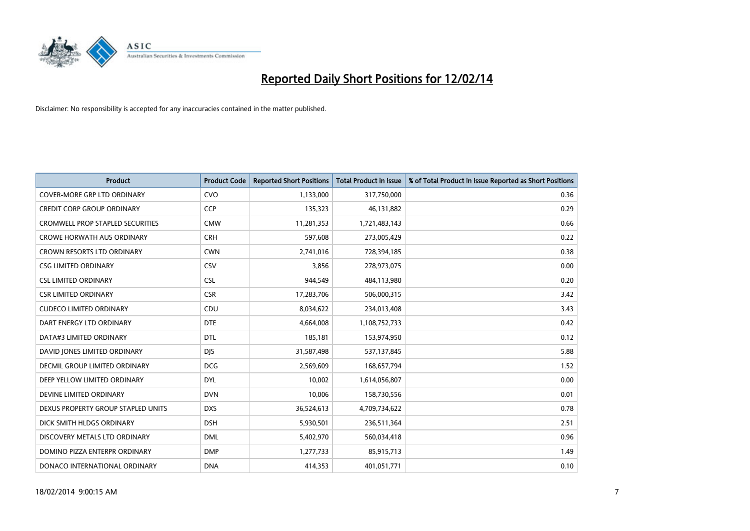

| <b>Product</b>                          | <b>Product Code</b> | <b>Reported Short Positions</b> | <b>Total Product in Issue</b> | % of Total Product in Issue Reported as Short Positions |
|-----------------------------------------|---------------------|---------------------------------|-------------------------------|---------------------------------------------------------|
| <b>COVER-MORE GRP LTD ORDINARY</b>      | <b>CVO</b>          | 1,133,000                       | 317,750,000                   | 0.36                                                    |
| <b>CREDIT CORP GROUP ORDINARY</b>       | <b>CCP</b>          | 135,323                         | 46,131,882                    | 0.29                                                    |
| <b>CROMWELL PROP STAPLED SECURITIES</b> | <b>CMW</b>          | 11,281,353                      | 1,721,483,143                 | 0.66                                                    |
| <b>CROWE HORWATH AUS ORDINARY</b>       | <b>CRH</b>          | 597,608                         | 273,005,429                   | 0.22                                                    |
| <b>CROWN RESORTS LTD ORDINARY</b>       | <b>CWN</b>          | 2,741,016                       | 728,394,185                   | 0.38                                                    |
| <b>CSG LIMITED ORDINARY</b>             | CSV                 | 3,856                           | 278,973,075                   | 0.00                                                    |
| <b>CSL LIMITED ORDINARY</b>             | <b>CSL</b>          | 944,549                         | 484,113,980                   | 0.20                                                    |
| <b>CSR LIMITED ORDINARY</b>             | <b>CSR</b>          | 17,283,706                      | 506,000,315                   | 3.42                                                    |
| <b>CUDECO LIMITED ORDINARY</b>          | CDU                 | 8,034,622                       | 234,013,408                   | 3.43                                                    |
| DART ENERGY LTD ORDINARY                | <b>DTE</b>          | 4,664,008                       | 1,108,752,733                 | 0.42                                                    |
| DATA#3 LIMITED ORDINARY                 | DTL                 | 185,181                         | 153,974,950                   | 0.12                                                    |
| DAVID JONES LIMITED ORDINARY            | <b>DJS</b>          | 31,587,498                      | 537,137,845                   | 5.88                                                    |
| DECMIL GROUP LIMITED ORDINARY           | <b>DCG</b>          | 2,569,609                       | 168,657,794                   | 1.52                                                    |
| DEEP YELLOW LIMITED ORDINARY            | <b>DYL</b>          | 10,002                          | 1,614,056,807                 | 0.00                                                    |
| DEVINE LIMITED ORDINARY                 | <b>DVN</b>          | 10,006                          | 158,730,556                   | 0.01                                                    |
| DEXUS PROPERTY GROUP STAPLED UNITS      | <b>DXS</b>          | 36,524,613                      | 4,709,734,622                 | 0.78                                                    |
| DICK SMITH HLDGS ORDINARY               | <b>DSH</b>          | 5,930,501                       | 236,511,364                   | 2.51                                                    |
| DISCOVERY METALS LTD ORDINARY           | <b>DML</b>          | 5,402,970                       | 560,034,418                   | 0.96                                                    |
| DOMINO PIZZA ENTERPR ORDINARY           | <b>DMP</b>          | 1,277,733                       | 85,915,713                    | 1.49                                                    |
| DONACO INTERNATIONAL ORDINARY           | <b>DNA</b>          | 414,353                         | 401,051,771                   | 0.10                                                    |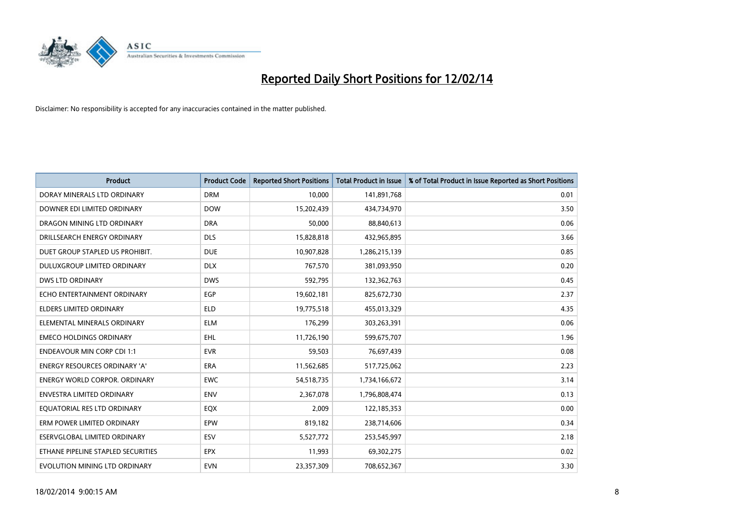

| <b>Product</b>                       | <b>Product Code</b> | <b>Reported Short Positions</b> | <b>Total Product in Issue</b> | % of Total Product in Issue Reported as Short Positions |
|--------------------------------------|---------------------|---------------------------------|-------------------------------|---------------------------------------------------------|
| DORAY MINERALS LTD ORDINARY          | <b>DRM</b>          | 10,000                          | 141,891,768                   | 0.01                                                    |
| DOWNER EDI LIMITED ORDINARY          | <b>DOW</b>          | 15,202,439                      | 434,734,970                   | 3.50                                                    |
| DRAGON MINING LTD ORDINARY           | <b>DRA</b>          | 50,000                          | 88,840,613                    | 0.06                                                    |
| DRILLSEARCH ENERGY ORDINARY          | <b>DLS</b>          | 15,828,818                      | 432,965,895                   | 3.66                                                    |
| DUET GROUP STAPLED US PROHIBIT.      | <b>DUE</b>          | 10,907,828                      | 1,286,215,139                 | 0.85                                                    |
| DULUXGROUP LIMITED ORDINARY          | <b>DLX</b>          | 767,570                         | 381,093,950                   | 0.20                                                    |
| <b>DWS LTD ORDINARY</b>              | <b>DWS</b>          | 592,795                         | 132,362,763                   | 0.45                                                    |
| ECHO ENTERTAINMENT ORDINARY          | <b>EGP</b>          | 19,602,181                      | 825,672,730                   | 2.37                                                    |
| <b>ELDERS LIMITED ORDINARY</b>       | <b>ELD</b>          | 19,775,518                      | 455,013,329                   | 4.35                                                    |
| ELEMENTAL MINERALS ORDINARY          | <b>ELM</b>          | 176,299                         | 303,263,391                   | 0.06                                                    |
| <b>EMECO HOLDINGS ORDINARY</b>       | <b>EHL</b>          | 11,726,190                      | 599,675,707                   | 1.96                                                    |
| <b>ENDEAVOUR MIN CORP CDI 1:1</b>    | <b>EVR</b>          | 59,503                          | 76,697,439                    | 0.08                                                    |
| ENERGY RESOURCES ORDINARY 'A'        | <b>ERA</b>          | 11,562,685                      | 517,725,062                   | 2.23                                                    |
| <b>ENERGY WORLD CORPOR, ORDINARY</b> | <b>EWC</b>          | 54,518,735                      | 1,734,166,672                 | 3.14                                                    |
| <b>ENVESTRA LIMITED ORDINARY</b>     | <b>ENV</b>          | 2,367,078                       | 1,796,808,474                 | 0.13                                                    |
| EQUATORIAL RES LTD ORDINARY          | EQX                 | 2,009                           | 122,185,353                   | 0.00                                                    |
| ERM POWER LIMITED ORDINARY           | EPW                 | 819,182                         | 238,714,606                   | 0.34                                                    |
| ESERVGLOBAL LIMITED ORDINARY         | <b>ESV</b>          | 5,527,772                       | 253,545,997                   | 2.18                                                    |
| ETHANE PIPELINE STAPLED SECURITIES   | <b>EPX</b>          | 11,993                          | 69,302,275                    | 0.02                                                    |
| EVOLUTION MINING LTD ORDINARY        | <b>EVN</b>          | 23,357,309                      | 708,652,367                   | 3.30                                                    |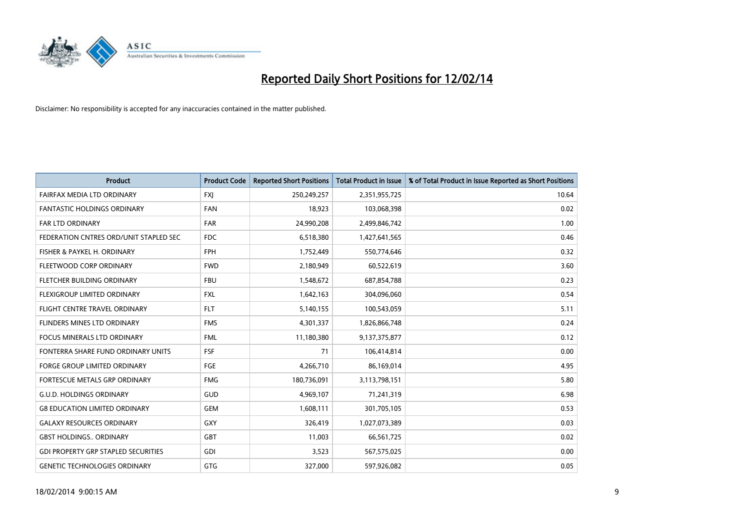

| <b>Product</b>                             | <b>Product Code</b> | <b>Reported Short Positions</b> | <b>Total Product in Issue</b> | % of Total Product in Issue Reported as Short Positions |
|--------------------------------------------|---------------------|---------------------------------|-------------------------------|---------------------------------------------------------|
| FAIRFAX MEDIA LTD ORDINARY                 | FXJ                 | 250,249,257                     | 2,351,955,725                 | 10.64                                                   |
| <b>FANTASTIC HOLDINGS ORDINARY</b>         | <b>FAN</b>          | 18,923                          | 103,068,398                   | 0.02                                                    |
| <b>FAR LTD ORDINARY</b>                    | <b>FAR</b>          | 24,990,208                      | 2,499,846,742                 | 1.00                                                    |
| FEDERATION CNTRES ORD/UNIT STAPLED SEC     | <b>FDC</b>          | 6,518,380                       | 1,427,641,565                 | 0.46                                                    |
| FISHER & PAYKEL H. ORDINARY                | <b>FPH</b>          | 1,752,449                       | 550,774,646                   | 0.32                                                    |
| FLEETWOOD CORP ORDINARY                    | <b>FWD</b>          | 2,180,949                       | 60,522,619                    | 3.60                                                    |
| FLETCHER BUILDING ORDINARY                 | <b>FBU</b>          | 1,548,672                       | 687,854,788                   | 0.23                                                    |
| FLEXIGROUP LIMITED ORDINARY                | <b>FXL</b>          | 1,642,163                       | 304,096,060                   | 0.54                                                    |
| FLIGHT CENTRE TRAVEL ORDINARY              | <b>FLT</b>          | 5,140,155                       | 100,543,059                   | 5.11                                                    |
| FLINDERS MINES LTD ORDINARY                | <b>FMS</b>          | 4,301,337                       | 1,826,866,748                 | 0.24                                                    |
| <b>FOCUS MINERALS LTD ORDINARY</b>         | <b>FML</b>          | 11,180,380                      | 9,137,375,877                 | 0.12                                                    |
| FONTERRA SHARE FUND ORDINARY UNITS         | <b>FSF</b>          | 71                              | 106,414,814                   | 0.00                                                    |
| <b>FORGE GROUP LIMITED ORDINARY</b>        | FGE                 | 4,266,710                       | 86,169,014                    | 4.95                                                    |
| FORTESCUE METALS GRP ORDINARY              | <b>FMG</b>          | 180,736,091                     | 3,113,798,151                 | 5.80                                                    |
| <b>G.U.D. HOLDINGS ORDINARY</b>            | GUD                 | 4,969,107                       | 71,241,319                    | 6.98                                                    |
| <b>G8 EDUCATION LIMITED ORDINARY</b>       | <b>GEM</b>          | 1,608,111                       | 301,705,105                   | 0.53                                                    |
| <b>GALAXY RESOURCES ORDINARY</b>           | GXY                 | 326,419                         | 1,027,073,389                 | 0.03                                                    |
| <b>GBST HOLDINGS ORDINARY</b>              | GBT                 | 11,003                          | 66,561,725                    | 0.02                                                    |
| <b>GDI PROPERTY GRP STAPLED SECURITIES</b> | GDI                 | 3,523                           | 567,575,025                   | 0.00                                                    |
| <b>GENETIC TECHNOLOGIES ORDINARY</b>       | GTG                 | 327,000                         | 597,926,082                   | 0.05                                                    |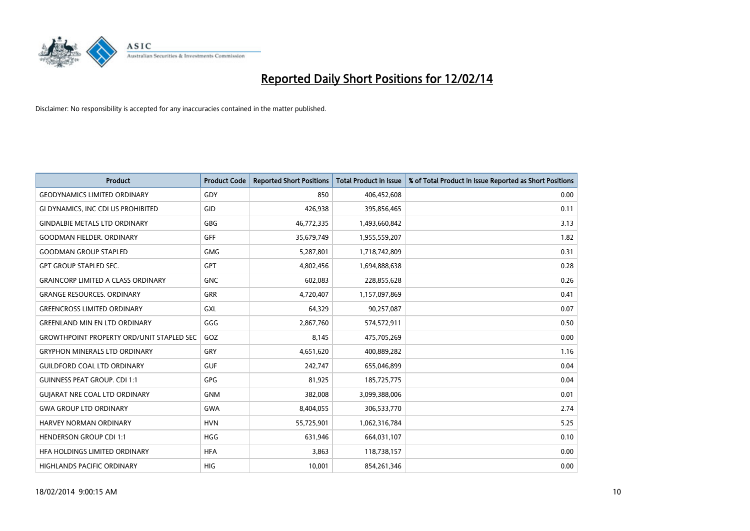

| <b>Product</b>                                   | <b>Product Code</b> | <b>Reported Short Positions</b> | <b>Total Product in Issue</b> | % of Total Product in Issue Reported as Short Positions |
|--------------------------------------------------|---------------------|---------------------------------|-------------------------------|---------------------------------------------------------|
| <b>GEODYNAMICS LIMITED ORDINARY</b>              | GDY                 | 850                             | 406,452,608                   | 0.00                                                    |
| GI DYNAMICS, INC CDI US PROHIBITED               | GID                 | 426,938                         | 395,856,465                   | 0.11                                                    |
| <b>GINDALBIE METALS LTD ORDINARY</b>             | GBG                 | 46,772,335                      | 1,493,660,842                 | 3.13                                                    |
| <b>GOODMAN FIELDER. ORDINARY</b>                 | <b>GFF</b>          | 35,679,749                      | 1,955,559,207                 | 1.82                                                    |
| <b>GOODMAN GROUP STAPLED</b>                     | <b>GMG</b>          | 5,287,801                       | 1,718,742,809                 | 0.31                                                    |
| <b>GPT GROUP STAPLED SEC.</b>                    | <b>GPT</b>          | 4,802,456                       | 1,694,888,638                 | 0.28                                                    |
| <b>GRAINCORP LIMITED A CLASS ORDINARY</b>        | <b>GNC</b>          | 602,083                         | 228,855,628                   | 0.26                                                    |
| <b>GRANGE RESOURCES. ORDINARY</b>                | GRR                 | 4,720,407                       | 1,157,097,869                 | 0.41                                                    |
| <b>GREENCROSS LIMITED ORDINARY</b>               | <b>GXL</b>          | 64,329                          | 90,257,087                    | 0.07                                                    |
| <b>GREENLAND MIN EN LTD ORDINARY</b>             | GGG                 | 2,867,760                       | 574,572,911                   | 0.50                                                    |
| <b>GROWTHPOINT PROPERTY ORD/UNIT STAPLED SEC</b> | GOZ                 | 8,145                           | 475,705,269                   | 0.00                                                    |
| <b>GRYPHON MINERALS LTD ORDINARY</b>             | GRY                 | 4,651,620                       | 400,889,282                   | 1.16                                                    |
| <b>GUILDFORD COAL LTD ORDINARY</b>               | <b>GUF</b>          | 242,747                         | 655,046,899                   | 0.04                                                    |
| <b>GUINNESS PEAT GROUP. CDI 1:1</b>              | GPG                 | 81,925                          | 185,725,775                   | 0.04                                                    |
| <b>GUIARAT NRE COAL LTD ORDINARY</b>             | <b>GNM</b>          | 382,008                         | 3,099,388,006                 | 0.01                                                    |
| <b>GWA GROUP LTD ORDINARY</b>                    | <b>GWA</b>          | 8,404,055                       | 306,533,770                   | 2.74                                                    |
| <b>HARVEY NORMAN ORDINARY</b>                    | <b>HVN</b>          | 55,725,901                      | 1,062,316,784                 | 5.25                                                    |
| <b>HENDERSON GROUP CDI 1:1</b>                   | <b>HGG</b>          | 631,946                         | 664,031,107                   | 0.10                                                    |
| HFA HOLDINGS LIMITED ORDINARY                    | <b>HFA</b>          | 3,863                           | 118,738,157                   | 0.00                                                    |
| HIGHLANDS PACIFIC ORDINARY                       | HIG                 | 10,001                          | 854,261,346                   | 0.00                                                    |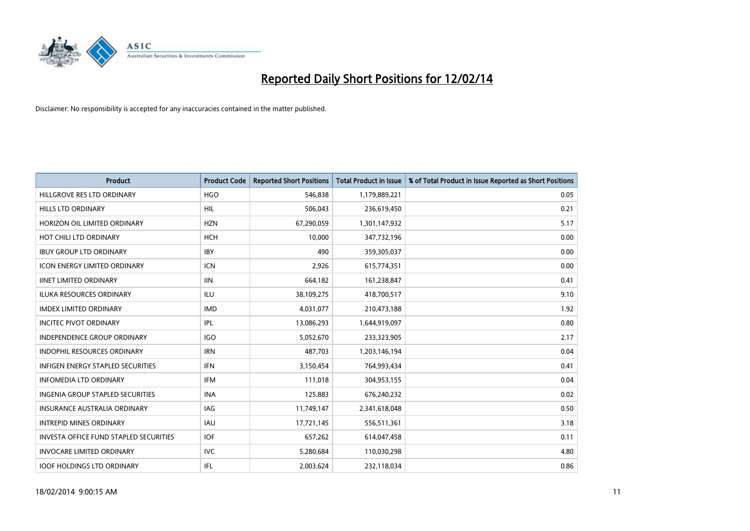

| <b>Product</b>                                | <b>Product Code</b> | <b>Reported Short Positions</b> | <b>Total Product in Issue</b> | % of Total Product in Issue Reported as Short Positions |
|-----------------------------------------------|---------------------|---------------------------------|-------------------------------|---------------------------------------------------------|
| HILLGROVE RES LTD ORDINARY                    | <b>HGO</b>          | 546,838                         | 1,179,889,221                 | 0.05                                                    |
| <b>HILLS LTD ORDINARY</b>                     | <b>HIL</b>          | 506,043                         | 236,619,450                   | 0.21                                                    |
| HORIZON OIL LIMITED ORDINARY                  | <b>HZN</b>          | 67,290,059                      | 1,301,147,932                 | 5.17                                                    |
| HOT CHILI LTD ORDINARY                        | <b>HCH</b>          | 10,000                          | 347,732,196                   | 0.00                                                    |
| <b>IBUY GROUP LTD ORDINARY</b>                | <b>IBY</b>          | 490                             | 359,305,037                   | 0.00                                                    |
| <b>ICON ENERGY LIMITED ORDINARY</b>           | <b>ICN</b>          | 2,926                           | 615,774,351                   | 0.00                                                    |
| <b>IINET LIMITED ORDINARY</b>                 | <b>IIN</b>          | 664,182                         | 161,238,847                   | 0.41                                                    |
| ILUKA RESOURCES ORDINARY                      | ILU                 | 38,109,275                      | 418,700,517                   | 9.10                                                    |
| <b>IMDEX LIMITED ORDINARY</b>                 | <b>IMD</b>          | 4,031,077                       | 210,473,188                   | 1.92                                                    |
| <b>INCITEC PIVOT ORDINARY</b>                 | IPL                 | 13,086,293                      | 1,644,919,097                 | 0.80                                                    |
| INDEPENDENCE GROUP ORDINARY                   | <b>IGO</b>          | 5,052,670                       | 233,323,905                   | 2.17                                                    |
| <b>INDOPHIL RESOURCES ORDINARY</b>            | <b>IRN</b>          | 487,703                         | 1,203,146,194                 | 0.04                                                    |
| <b>INFIGEN ENERGY STAPLED SECURITIES</b>      | <b>IFN</b>          | 3,150,454                       | 764,993,434                   | 0.41                                                    |
| <b>INFOMEDIA LTD ORDINARY</b>                 | <b>IFM</b>          | 111,018                         | 304,953,155                   | 0.04                                                    |
| <b>INGENIA GROUP STAPLED SECURITIES</b>       | <b>INA</b>          | 125,883                         | 676,240,232                   | 0.02                                                    |
| INSURANCE AUSTRALIA ORDINARY                  | IAG                 | 11,749,147                      | 2,341,618,048                 | 0.50                                                    |
| <b>INTREPID MINES ORDINARY</b>                | <b>IAU</b>          | 17,721,145                      | 556,511,361                   | 3.18                                                    |
| <b>INVESTA OFFICE FUND STAPLED SECURITIES</b> | <b>IOF</b>          | 657,262                         | 614,047,458                   | 0.11                                                    |
| <b>INVOCARE LIMITED ORDINARY</b>              | <b>IVC</b>          | 5,280,684                       | 110,030,298                   | 4.80                                                    |
| <b>IOOF HOLDINGS LTD ORDINARY</b>             | IFL                 | 2,003,624                       | 232,118,034                   | 0.86                                                    |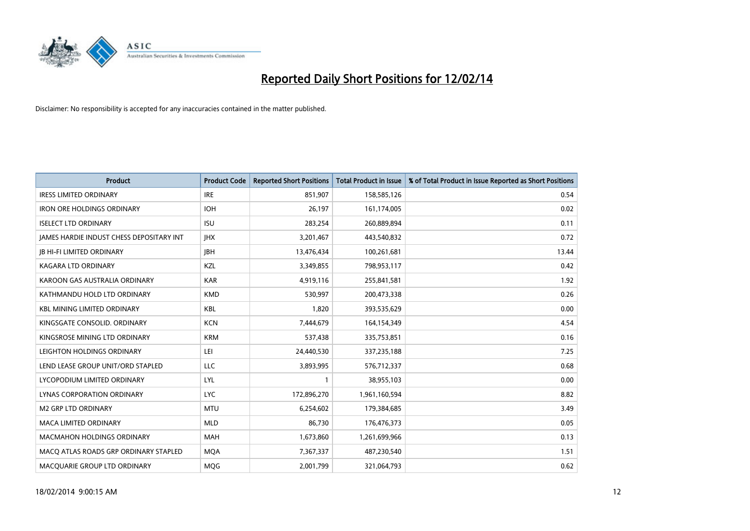

| <b>Product</b>                           | <b>Product Code</b> | <b>Reported Short Positions</b> | <b>Total Product in Issue</b> | % of Total Product in Issue Reported as Short Positions |
|------------------------------------------|---------------------|---------------------------------|-------------------------------|---------------------------------------------------------|
| <b>IRESS LIMITED ORDINARY</b>            | <b>IRE</b>          | 851,907                         | 158,585,126                   | 0.54                                                    |
| <b>IRON ORE HOLDINGS ORDINARY</b>        | <b>IOH</b>          | 26,197                          | 161,174,005                   | 0.02                                                    |
| <b>ISELECT LTD ORDINARY</b>              | <b>ISU</b>          | 283,254                         | 260,889,894                   | 0.11                                                    |
| JAMES HARDIE INDUST CHESS DEPOSITARY INT | <b>IHX</b>          | 3,201,467                       | 443,540,832                   | 0.72                                                    |
| <b>JB HI-FI LIMITED ORDINARY</b>         | <b>IBH</b>          | 13,476,434                      | 100,261,681                   | 13.44                                                   |
| <b>KAGARA LTD ORDINARY</b>               | KZL                 | 3,349,855                       | 798,953,117                   | 0.42                                                    |
| KAROON GAS AUSTRALIA ORDINARY            | <b>KAR</b>          | 4,919,116                       | 255,841,581                   | 1.92                                                    |
| KATHMANDU HOLD LTD ORDINARY              | <b>KMD</b>          | 530,997                         | 200,473,338                   | 0.26                                                    |
| <b>KBL MINING LIMITED ORDINARY</b>       | <b>KBL</b>          | 1,820                           | 393,535,629                   | 0.00                                                    |
| KINGSGATE CONSOLID. ORDINARY             | <b>KCN</b>          | 7,444,679                       | 164,154,349                   | 4.54                                                    |
| KINGSROSE MINING LTD ORDINARY            | <b>KRM</b>          | 537,438                         | 335,753,851                   | 0.16                                                    |
| LEIGHTON HOLDINGS ORDINARY               | LEI                 | 24,440,530                      | 337,235,188                   | 7.25                                                    |
| LEND LEASE GROUP UNIT/ORD STAPLED        | LLC                 | 3,893,995                       | 576,712,337                   | 0.68                                                    |
| LYCOPODIUM LIMITED ORDINARY              | LYL                 | 1                               | 38,955,103                    | 0.00                                                    |
| LYNAS CORPORATION ORDINARY               | <b>LYC</b>          | 172,896,270                     | 1,961,160,594                 | 8.82                                                    |
| M2 GRP LTD ORDINARY                      | <b>MTU</b>          | 6,254,602                       | 179,384,685                   | 3.49                                                    |
| MACA LIMITED ORDINARY                    | <b>MLD</b>          | 86,730                          | 176,476,373                   | 0.05                                                    |
| MACMAHON HOLDINGS ORDINARY               | <b>MAH</b>          | 1,673,860                       | 1,261,699,966                 | 0.13                                                    |
| MACO ATLAS ROADS GRP ORDINARY STAPLED    | <b>MOA</b>          | 7,367,337                       | 487,230,540                   | 1.51                                                    |
| MACQUARIE GROUP LTD ORDINARY             | <b>MOG</b>          | 2,001,799                       | 321,064,793                   | 0.62                                                    |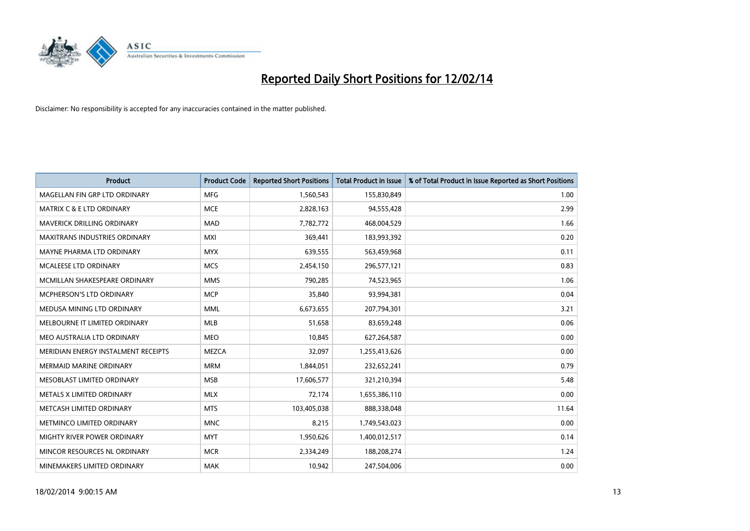

| <b>Product</b>                       | <b>Product Code</b> | <b>Reported Short Positions</b> | <b>Total Product in Issue</b> | % of Total Product in Issue Reported as Short Positions |
|--------------------------------------|---------------------|---------------------------------|-------------------------------|---------------------------------------------------------|
| MAGELLAN FIN GRP LTD ORDINARY        | <b>MFG</b>          | 1,560,543                       | 155,830,849                   | 1.00                                                    |
| <b>MATRIX C &amp; E LTD ORDINARY</b> | <b>MCE</b>          | 2,828,163                       | 94,555,428                    | 2.99                                                    |
| <b>MAVERICK DRILLING ORDINARY</b>    | <b>MAD</b>          | 7,782,772                       | 468,004,529                   | 1.66                                                    |
| MAXITRANS INDUSTRIES ORDINARY        | <b>MXI</b>          | 369,441                         | 183,993,392                   | 0.20                                                    |
| MAYNE PHARMA LTD ORDINARY            | <b>MYX</b>          | 639,555                         | 563,459,968                   | 0.11                                                    |
| MCALEESE LTD ORDINARY                | <b>MCS</b>          | 2,454,150                       | 296,577,121                   | 0.83                                                    |
| MCMILLAN SHAKESPEARE ORDINARY        | <b>MMS</b>          | 790,285                         | 74,523,965                    | 1.06                                                    |
| MCPHERSON'S LTD ORDINARY             | <b>MCP</b>          | 35,840                          | 93,994,381                    | 0.04                                                    |
| MEDUSA MINING LTD ORDINARY           | <b>MML</b>          | 6,673,655                       | 207,794,301                   | 3.21                                                    |
| MELBOURNE IT LIMITED ORDINARY        | <b>MLB</b>          | 51,658                          | 83,659,248                    | 0.06                                                    |
| MEO AUSTRALIA LTD ORDINARY           | <b>MEO</b>          | 10,845                          | 627,264,587                   | 0.00                                                    |
| MERIDIAN ENERGY INSTALMENT RECEIPTS  | MEZCA               | 32,097                          | 1,255,413,626                 | 0.00                                                    |
| MERMAID MARINE ORDINARY              | <b>MRM</b>          | 1,844,051                       | 232,652,241                   | 0.79                                                    |
| MESOBLAST LIMITED ORDINARY           | <b>MSB</b>          | 17,606,577                      | 321,210,394                   | 5.48                                                    |
| METALS X LIMITED ORDINARY            | <b>MLX</b>          | 72,174                          | 1,655,386,110                 | 0.00                                                    |
| METCASH LIMITED ORDINARY             | <b>MTS</b>          | 103,405,038                     | 888,338,048                   | 11.64                                                   |
| METMINCO LIMITED ORDINARY            | <b>MNC</b>          | 8,215                           | 1,749,543,023                 | 0.00                                                    |
| MIGHTY RIVER POWER ORDINARY          | <b>MYT</b>          | 1,950,626                       | 1,400,012,517                 | 0.14                                                    |
| MINCOR RESOURCES NL ORDINARY         | <b>MCR</b>          | 2,334,249                       | 188,208,274                   | 1.24                                                    |
| MINEMAKERS LIMITED ORDINARY          | <b>MAK</b>          | 10,942                          | 247,504,006                   | 0.00                                                    |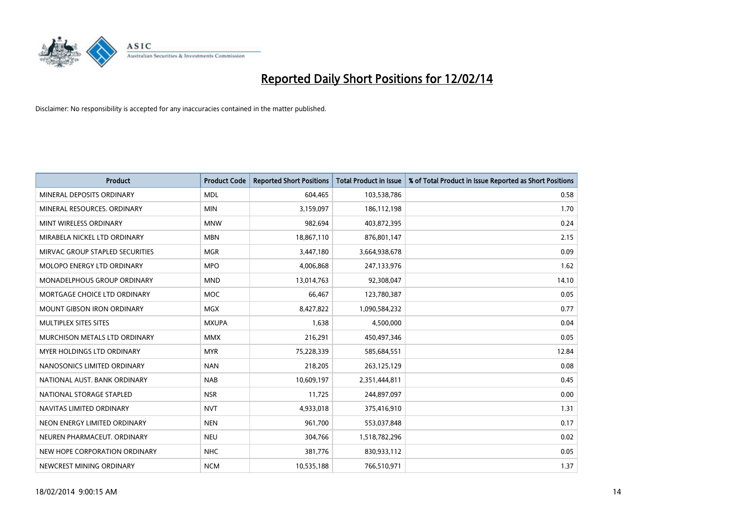

| <b>Product</b>                    | <b>Product Code</b> | <b>Reported Short Positions</b> | <b>Total Product in Issue</b> | % of Total Product in Issue Reported as Short Positions |
|-----------------------------------|---------------------|---------------------------------|-------------------------------|---------------------------------------------------------|
| MINERAL DEPOSITS ORDINARY         | <b>MDL</b>          | 604,465                         | 103,538,786                   | 0.58                                                    |
| MINERAL RESOURCES. ORDINARY       | <b>MIN</b>          | 3,159,097                       | 186,112,198                   | 1.70                                                    |
| MINT WIRELESS ORDINARY            | <b>MNW</b>          | 982,694                         | 403,872,395                   | 0.24                                                    |
| MIRABELA NICKEL LTD ORDINARY      | <b>MBN</b>          | 18,867,110                      | 876,801,147                   | 2.15                                                    |
| MIRVAC GROUP STAPLED SECURITIES   | <b>MGR</b>          | 3,447,180                       | 3,664,938,678                 | 0.09                                                    |
| MOLOPO ENERGY LTD ORDINARY        | <b>MPO</b>          | 4,006,868                       | 247,133,976                   | 1.62                                                    |
| MONADELPHOUS GROUP ORDINARY       | <b>MND</b>          | 13,014,763                      | 92,308,047                    | 14.10                                                   |
| MORTGAGE CHOICE LTD ORDINARY      | MOC                 | 66,467                          | 123,780,387                   | 0.05                                                    |
| <b>MOUNT GIBSON IRON ORDINARY</b> | <b>MGX</b>          | 8,427,822                       | 1,090,584,232                 | 0.77                                                    |
| MULTIPLEX SITES SITES             | <b>MXUPA</b>        | 1,638                           | 4,500,000                     | 0.04                                                    |
| MURCHISON METALS LTD ORDINARY     | <b>MMX</b>          | 216,291                         | 450,497,346                   | 0.05                                                    |
| MYER HOLDINGS LTD ORDINARY        | <b>MYR</b>          | 75,228,339                      | 585,684,551                   | 12.84                                                   |
| NANOSONICS LIMITED ORDINARY       | <b>NAN</b>          | 218,205                         | 263,125,129                   | 0.08                                                    |
| NATIONAL AUST, BANK ORDINARY      | <b>NAB</b>          | 10,609,197                      | 2,351,444,811                 | 0.45                                                    |
| NATIONAL STORAGE STAPLED          | <b>NSR</b>          | 11,725                          | 244,897,097                   | 0.00                                                    |
| NAVITAS LIMITED ORDINARY          | <b>NVT</b>          | 4,933,018                       | 375,416,910                   | 1.31                                                    |
| NEON ENERGY LIMITED ORDINARY      | <b>NEN</b>          | 961,700                         | 553,037,848                   | 0.17                                                    |
| NEUREN PHARMACEUT. ORDINARY       | <b>NEU</b>          | 304,766                         | 1,518,782,296                 | 0.02                                                    |
| NEW HOPE CORPORATION ORDINARY     | <b>NHC</b>          | 381,776                         | 830,933,112                   | 0.05                                                    |
| NEWCREST MINING ORDINARY          | <b>NCM</b>          | 10,535,188                      | 766,510,971                   | 1.37                                                    |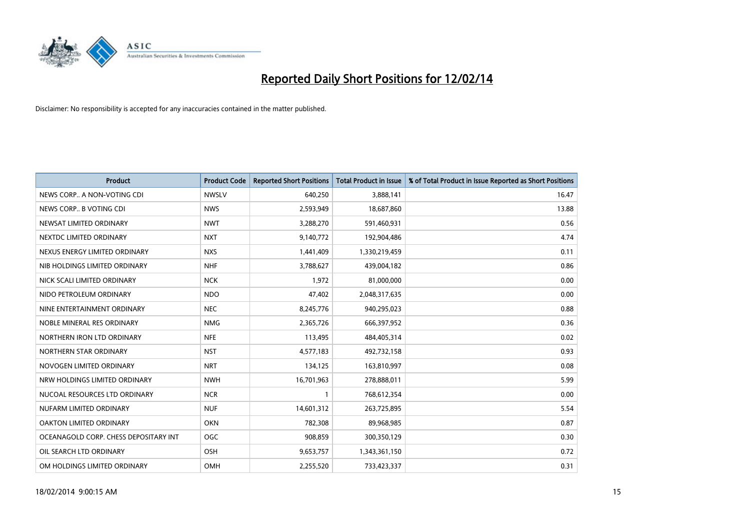

| <b>Product</b>                        | <b>Product Code</b> | <b>Reported Short Positions</b> | <b>Total Product in Issue</b> | % of Total Product in Issue Reported as Short Positions |
|---------------------------------------|---------------------|---------------------------------|-------------------------------|---------------------------------------------------------|
| NEWS CORP A NON-VOTING CDI            | <b>NWSLV</b>        | 640,250                         | 3,888,141                     | 16.47                                                   |
| NEWS CORP B VOTING CDI                | <b>NWS</b>          | 2,593,949                       | 18,687,860                    | 13.88                                                   |
| NEWSAT LIMITED ORDINARY               | <b>NWT</b>          | 3,288,270                       | 591,460,931                   | 0.56                                                    |
| NEXTDC LIMITED ORDINARY               | <b>NXT</b>          | 9,140,772                       | 192,904,486                   | 4.74                                                    |
| NEXUS ENERGY LIMITED ORDINARY         | <b>NXS</b>          | 1,441,409                       | 1,330,219,459                 | 0.11                                                    |
| NIB HOLDINGS LIMITED ORDINARY         | <b>NHF</b>          | 3,788,627                       | 439,004,182                   | 0.86                                                    |
| NICK SCALI LIMITED ORDINARY           | <b>NCK</b>          | 1,972                           | 81,000,000                    | 0.00                                                    |
| NIDO PETROLEUM ORDINARY               | <b>NDO</b>          | 47,402                          | 2,048,317,635                 | 0.00                                                    |
| NINE ENTERTAINMENT ORDINARY           | <b>NEC</b>          | 8,245,776                       | 940,295,023                   | 0.88                                                    |
| NOBLE MINERAL RES ORDINARY            | <b>NMG</b>          | 2,365,726                       | 666,397,952                   | 0.36                                                    |
| NORTHERN IRON LTD ORDINARY            | <b>NFE</b>          | 113,495                         | 484,405,314                   | 0.02                                                    |
| NORTHERN STAR ORDINARY                | <b>NST</b>          | 4,577,183                       | 492,732,158                   | 0.93                                                    |
| NOVOGEN LIMITED ORDINARY              | <b>NRT</b>          | 134,125                         | 163,810,997                   | 0.08                                                    |
| NRW HOLDINGS LIMITED ORDINARY         | <b>NWH</b>          | 16,701,963                      | 278,888,011                   | 5.99                                                    |
| NUCOAL RESOURCES LTD ORDINARY         | <b>NCR</b>          | 1                               | 768,612,354                   | 0.00                                                    |
| NUFARM LIMITED ORDINARY               | <b>NUF</b>          | 14,601,312                      | 263,725,895                   | 5.54                                                    |
| OAKTON LIMITED ORDINARY               | <b>OKN</b>          | 782,308                         | 89,968,985                    | 0.87                                                    |
| OCEANAGOLD CORP. CHESS DEPOSITARY INT | <b>OGC</b>          | 908,859                         | 300,350,129                   | 0.30                                                    |
| OIL SEARCH LTD ORDINARY               | OSH                 | 9,653,757                       | 1,343,361,150                 | 0.72                                                    |
| OM HOLDINGS LIMITED ORDINARY          | <b>OMH</b>          | 2,255,520                       | 733,423,337                   | 0.31                                                    |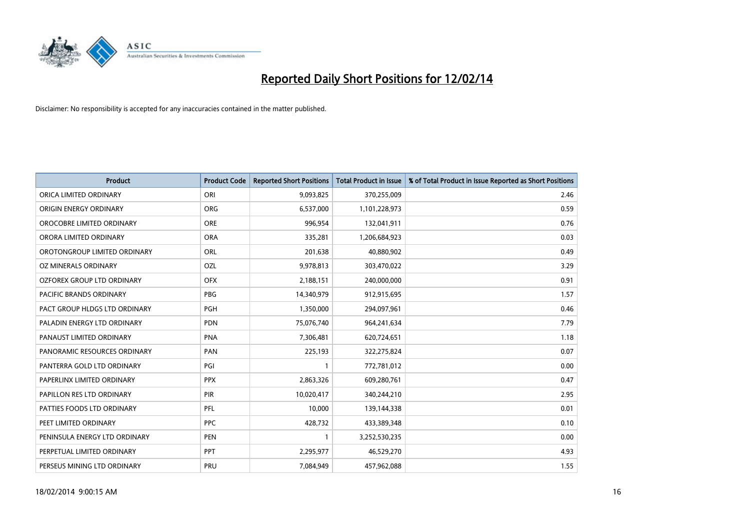

| <b>Product</b>                | <b>Product Code</b> | <b>Reported Short Positions</b> | <b>Total Product in Issue</b> | % of Total Product in Issue Reported as Short Positions |
|-------------------------------|---------------------|---------------------------------|-------------------------------|---------------------------------------------------------|
| ORICA LIMITED ORDINARY        | ORI                 | 9,093,825                       | 370,255,009                   | 2.46                                                    |
| ORIGIN ENERGY ORDINARY        | <b>ORG</b>          | 6,537,000                       | 1,101,228,973                 | 0.59                                                    |
| OROCOBRE LIMITED ORDINARY     | <b>ORE</b>          | 996,954                         | 132,041,911                   | 0.76                                                    |
| ORORA LIMITED ORDINARY        | <b>ORA</b>          | 335,281                         | 1,206,684,923                 | 0.03                                                    |
| OROTONGROUP LIMITED ORDINARY  | ORL                 | 201,638                         | 40,880,902                    | 0.49                                                    |
| OZ MINERALS ORDINARY          | OZL                 | 9,978,813                       | 303,470,022                   | 3.29                                                    |
| OZFOREX GROUP LTD ORDINARY    | <b>OFX</b>          | 2,188,151                       | 240,000,000                   | 0.91                                                    |
| PACIFIC BRANDS ORDINARY       | <b>PBG</b>          | 14,340,979                      | 912,915,695                   | 1.57                                                    |
| PACT GROUP HLDGS LTD ORDINARY | <b>PGH</b>          | 1,350,000                       | 294,097,961                   | 0.46                                                    |
| PALADIN ENERGY LTD ORDINARY   | <b>PDN</b>          | 75,076,740                      | 964,241,634                   | 7.79                                                    |
| PANAUST LIMITED ORDINARY      | <b>PNA</b>          | 7,306,481                       | 620,724,651                   | 1.18                                                    |
| PANORAMIC RESOURCES ORDINARY  | PAN                 | 225,193                         | 322,275,824                   | 0.07                                                    |
| PANTERRA GOLD LTD ORDINARY    | PGI                 | 1                               | 772,781,012                   | 0.00                                                    |
| PAPERLINX LIMITED ORDINARY    | <b>PPX</b>          | 2,863,326                       | 609,280,761                   | 0.47                                                    |
| PAPILLON RES LTD ORDINARY     | PIR                 | 10,020,417                      | 340,244,210                   | 2.95                                                    |
| PATTIES FOODS LTD ORDINARY    | <b>PFL</b>          | 10,000                          | 139,144,338                   | 0.01                                                    |
| PEET LIMITED ORDINARY         | <b>PPC</b>          | 428,732                         | 433,389,348                   | 0.10                                                    |
| PENINSULA ENERGY LTD ORDINARY | <b>PEN</b>          | 1                               | 3,252,530,235                 | 0.00                                                    |
| PERPETUAL LIMITED ORDINARY    | <b>PPT</b>          | 2,295,977                       | 46,529,270                    | 4.93                                                    |
| PERSEUS MINING LTD ORDINARY   | PRU                 | 7,084,949                       | 457,962,088                   | 1.55                                                    |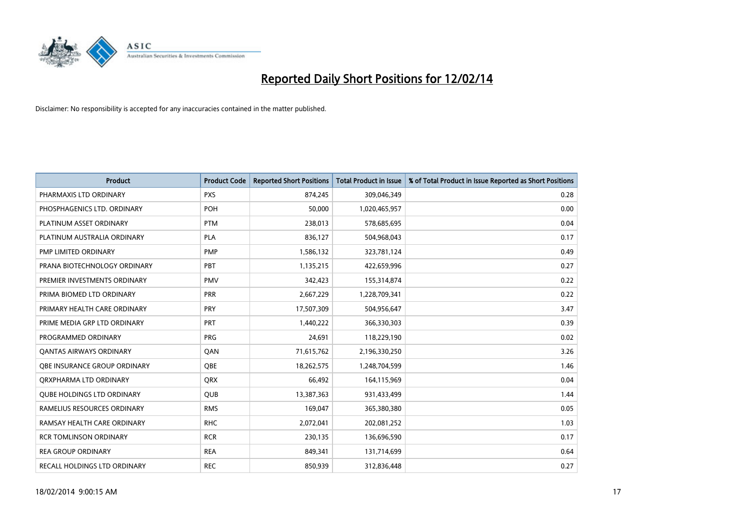

| <b>Product</b>                    | <b>Product Code</b> | <b>Reported Short Positions</b> | <b>Total Product in Issue</b> | % of Total Product in Issue Reported as Short Positions |
|-----------------------------------|---------------------|---------------------------------|-------------------------------|---------------------------------------------------------|
| PHARMAXIS LTD ORDINARY            | <b>PXS</b>          | 874,245                         | 309,046,349                   | 0.28                                                    |
| PHOSPHAGENICS LTD. ORDINARY       | <b>POH</b>          | 50,000                          | 1,020,465,957                 | 0.00                                                    |
| PLATINUM ASSET ORDINARY           | <b>PTM</b>          | 238,013                         | 578,685,695                   | 0.04                                                    |
| PLATINUM AUSTRALIA ORDINARY       | <b>PLA</b>          | 836,127                         | 504,968,043                   | 0.17                                                    |
| PMP LIMITED ORDINARY              | <b>PMP</b>          | 1,586,132                       | 323,781,124                   | 0.49                                                    |
| PRANA BIOTECHNOLOGY ORDINARY      | PBT                 | 1,135,215                       | 422,659,996                   | 0.27                                                    |
| PREMIER INVESTMENTS ORDINARY      | <b>PMV</b>          | 342,423                         | 155,314,874                   | 0.22                                                    |
| PRIMA BIOMED LTD ORDINARY         | <b>PRR</b>          | 2,667,229                       | 1,228,709,341                 | 0.22                                                    |
| PRIMARY HEALTH CARE ORDINARY      | <b>PRY</b>          | 17,507,309                      | 504,956,647                   | 3.47                                                    |
| PRIME MEDIA GRP LTD ORDINARY      | <b>PRT</b>          | 1,440,222                       | 366,330,303                   | 0.39                                                    |
| PROGRAMMED ORDINARY               | <b>PRG</b>          | 24,691                          | 118,229,190                   | 0.02                                                    |
| <b>QANTAS AIRWAYS ORDINARY</b>    | QAN                 | 71,615,762                      | 2,196,330,250                 | 3.26                                                    |
| OBE INSURANCE GROUP ORDINARY      | <b>OBE</b>          | 18,262,575                      | 1,248,704,599                 | 1.46                                                    |
| ORXPHARMA LTD ORDINARY            | <b>QRX</b>          | 66,492                          | 164,115,969                   | 0.04                                                    |
| <b>QUBE HOLDINGS LTD ORDINARY</b> | QUB                 | 13,387,363                      | 931,433,499                   | 1.44                                                    |
| RAMELIUS RESOURCES ORDINARY       | <b>RMS</b>          | 169,047                         | 365,380,380                   | 0.05                                                    |
| RAMSAY HEALTH CARE ORDINARY       | <b>RHC</b>          | 2,072,041                       | 202,081,252                   | 1.03                                                    |
| <b>RCR TOMLINSON ORDINARY</b>     | <b>RCR</b>          | 230,135                         | 136,696,590                   | 0.17                                                    |
| <b>REA GROUP ORDINARY</b>         | <b>REA</b>          | 849,341                         | 131,714,699                   | 0.64                                                    |
| RECALL HOLDINGS LTD ORDINARY      | <b>REC</b>          | 850,939                         | 312,836,448                   | 0.27                                                    |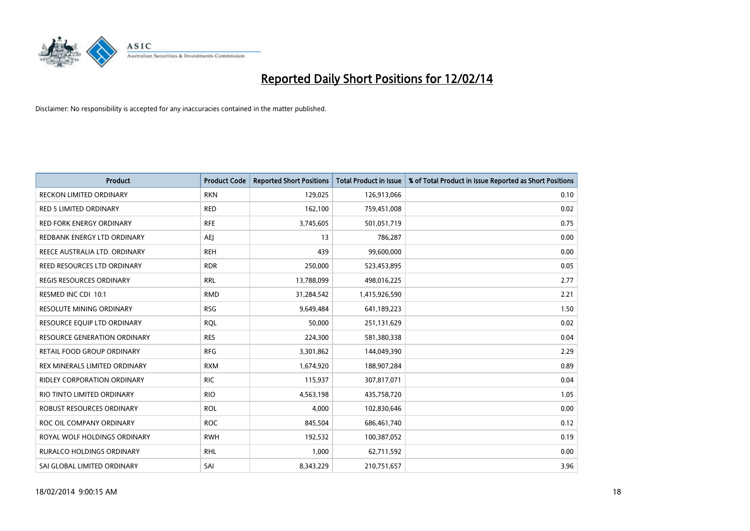

| <b>Product</b>                      | <b>Product Code</b> | <b>Reported Short Positions</b> | <b>Total Product in Issue</b> | % of Total Product in Issue Reported as Short Positions |
|-------------------------------------|---------------------|---------------------------------|-------------------------------|---------------------------------------------------------|
| <b>RECKON LIMITED ORDINARY</b>      | <b>RKN</b>          | 129,025                         | 126,913,066                   | 0.10                                                    |
| <b>RED 5 LIMITED ORDINARY</b>       | <b>RED</b>          | 162,100                         | 759,451,008                   | 0.02                                                    |
| <b>RED FORK ENERGY ORDINARY</b>     | <b>RFE</b>          | 3,745,605                       | 501,051,719                   | 0.75                                                    |
| REDBANK ENERGY LTD ORDINARY         | <b>AEJ</b>          | 13                              | 786,287                       | 0.00                                                    |
| REECE AUSTRALIA LTD. ORDINARY       | <b>REH</b>          | 439                             | 99,600,000                    | 0.00                                                    |
| REED RESOURCES LTD ORDINARY         | <b>RDR</b>          | 250,000                         | 523,453,895                   | 0.05                                                    |
| <b>REGIS RESOURCES ORDINARY</b>     | <b>RRL</b>          | 13,788,099                      | 498,016,225                   | 2.77                                                    |
| RESMED INC CDI 10:1                 | <b>RMD</b>          | 31,284,542                      | 1,415,926,590                 | 2.21                                                    |
| <b>RESOLUTE MINING ORDINARY</b>     | <b>RSG</b>          | 9,649,484                       | 641,189,223                   | 1.50                                                    |
| RESOURCE EQUIP LTD ORDINARY         | <b>RQL</b>          | 50,000                          | 251,131,629                   | 0.02                                                    |
| <b>RESOURCE GENERATION ORDINARY</b> | <b>RES</b>          | 224,300                         | 581,380,338                   | 0.04                                                    |
| RETAIL FOOD GROUP ORDINARY          | <b>RFG</b>          | 3,301,862                       | 144,049,390                   | 2.29                                                    |
| REX MINERALS LIMITED ORDINARY       | <b>RXM</b>          | 1,674,920                       | 188,907,284                   | 0.89                                                    |
| <b>RIDLEY CORPORATION ORDINARY</b>  | <b>RIC</b>          | 115,937                         | 307,817,071                   | 0.04                                                    |
| RIO TINTO LIMITED ORDINARY          | <b>RIO</b>          | 4,563,198                       | 435,758,720                   | 1.05                                                    |
| ROBUST RESOURCES ORDINARY           | <b>ROL</b>          | 4,000                           | 102,830,646                   | 0.00                                                    |
| ROC OIL COMPANY ORDINARY            | <b>ROC</b>          | 845,504                         | 686,461,740                   | 0.12                                                    |
| ROYAL WOLF HOLDINGS ORDINARY        | <b>RWH</b>          | 192,532                         | 100,387,052                   | 0.19                                                    |
| <b>RURALCO HOLDINGS ORDINARY</b>    | <b>RHL</b>          | 1,000                           | 62,711,592                    | 0.00                                                    |
| SAI GLOBAL LIMITED ORDINARY         | SAI                 | 8,343,229                       | 210,751,657                   | 3.96                                                    |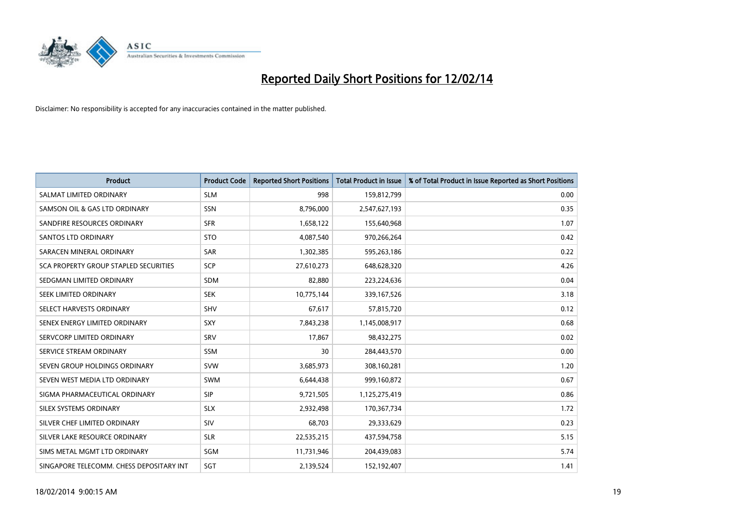

| <b>Product</b>                           | <b>Product Code</b> | <b>Reported Short Positions</b> | <b>Total Product in Issue</b> | % of Total Product in Issue Reported as Short Positions |
|------------------------------------------|---------------------|---------------------------------|-------------------------------|---------------------------------------------------------|
| SALMAT LIMITED ORDINARY                  | <b>SLM</b>          | 998                             | 159,812,799                   | 0.00                                                    |
| SAMSON OIL & GAS LTD ORDINARY            | <b>SSN</b>          | 8,796,000                       | 2,547,627,193                 | 0.35                                                    |
| SANDFIRE RESOURCES ORDINARY              | <b>SFR</b>          | 1,658,122                       | 155,640,968                   | 1.07                                                    |
| <b>SANTOS LTD ORDINARY</b>               | <b>STO</b>          | 4,087,540                       | 970,266,264                   | 0.42                                                    |
| SARACEN MINERAL ORDINARY                 | <b>SAR</b>          | 1,302,385                       | 595,263,186                   | 0.22                                                    |
| SCA PROPERTY GROUP STAPLED SECURITIES    | SCP                 | 27,610,273                      | 648,628,320                   | 4.26                                                    |
| SEDGMAN LIMITED ORDINARY                 | SDM                 | 82,880                          | 223,224,636                   | 0.04                                                    |
| SEEK LIMITED ORDINARY                    | <b>SEK</b>          | 10,775,144                      | 339,167,526                   | 3.18                                                    |
| SELECT HARVESTS ORDINARY                 | SHV                 | 67,617                          | 57,815,720                    | 0.12                                                    |
| SENEX ENERGY LIMITED ORDINARY            | SXY                 | 7,843,238                       | 1,145,008,917                 | 0.68                                                    |
| SERVCORP LIMITED ORDINARY                | <b>SRV</b>          | 17,867                          | 98,432,275                    | 0.02                                                    |
| SERVICE STREAM ORDINARY                  | SSM                 | 30                              | 284,443,570                   | 0.00                                                    |
| SEVEN GROUP HOLDINGS ORDINARY            | <b>SVW</b>          | 3,685,973                       | 308,160,281                   | 1.20                                                    |
| SEVEN WEST MEDIA LTD ORDINARY            | <b>SWM</b>          | 6,644,438                       | 999,160,872                   | 0.67                                                    |
| SIGMA PHARMACEUTICAL ORDINARY            | <b>SIP</b>          | 9,721,505                       | 1,125,275,419                 | 0.86                                                    |
| SILEX SYSTEMS ORDINARY                   | <b>SLX</b>          | 2,932,498                       | 170,367,734                   | 1.72                                                    |
| SILVER CHEF LIMITED ORDINARY             | SIV                 | 68,703                          | 29,333,629                    | 0.23                                                    |
| SILVER LAKE RESOURCE ORDINARY            | <b>SLR</b>          | 22,535,215                      | 437,594,758                   | 5.15                                                    |
| SIMS METAL MGMT LTD ORDINARY             | SGM                 | 11,731,946                      | 204,439,083                   | 5.74                                                    |
| SINGAPORE TELECOMM. CHESS DEPOSITARY INT | SGT                 | 2,139,524                       | 152,192,407                   | 1.41                                                    |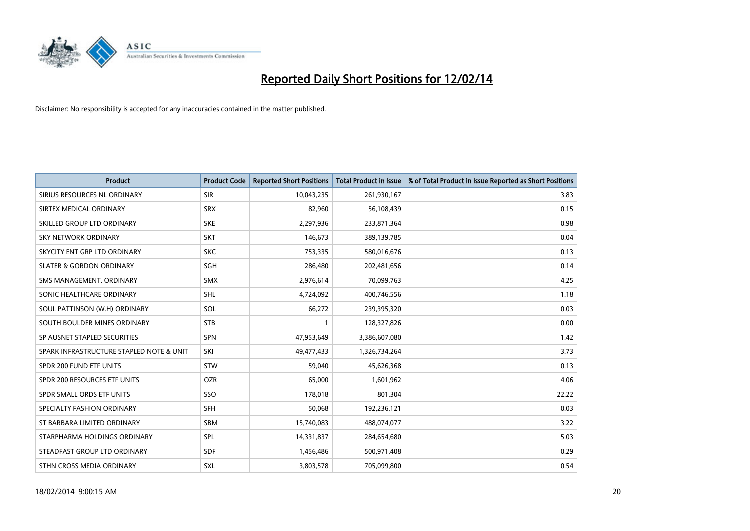

| <b>Product</b>                           | <b>Product Code</b> | <b>Reported Short Positions</b> | <b>Total Product in Issue</b> | % of Total Product in Issue Reported as Short Positions |
|------------------------------------------|---------------------|---------------------------------|-------------------------------|---------------------------------------------------------|
| SIRIUS RESOURCES NL ORDINARY             | <b>SIR</b>          | 10,043,235                      | 261,930,167                   | 3.83                                                    |
| SIRTEX MEDICAL ORDINARY                  | <b>SRX</b>          | 82,960                          | 56,108,439                    | 0.15                                                    |
| SKILLED GROUP LTD ORDINARY               | <b>SKE</b>          | 2,297,936                       | 233,871,364                   | 0.98                                                    |
| <b>SKY NETWORK ORDINARY</b>              | <b>SKT</b>          | 146,673                         | 389,139,785                   | 0.04                                                    |
| SKYCITY ENT GRP LTD ORDINARY             | <b>SKC</b>          | 753,335                         | 580,016,676                   | 0.13                                                    |
| <b>SLATER &amp; GORDON ORDINARY</b>      | SGH                 | 286,480                         | 202,481,656                   | 0.14                                                    |
| SMS MANAGEMENT, ORDINARY                 | <b>SMX</b>          | 2,976,614                       | 70,099,763                    | 4.25                                                    |
| SONIC HEALTHCARE ORDINARY                | <b>SHL</b>          | 4,724,092                       | 400,746,556                   | 1.18                                                    |
| SOUL PATTINSON (W.H) ORDINARY            | SOL                 | 66,272                          | 239,395,320                   | 0.03                                                    |
| SOUTH BOULDER MINES ORDINARY             | <b>STB</b>          | 1                               | 128,327,826                   | 0.00                                                    |
| SP AUSNET STAPLED SECURITIES             | <b>SPN</b>          | 47,953,649                      | 3,386,607,080                 | 1.42                                                    |
| SPARK INFRASTRUCTURE STAPLED NOTE & UNIT | SKI                 | 49,477,433                      | 1,326,734,264                 | 3.73                                                    |
| SPDR 200 FUND ETF UNITS                  | <b>STW</b>          | 59,040                          | 45,626,368                    | 0.13                                                    |
| SPDR 200 RESOURCES ETF UNITS             | <b>OZR</b>          | 65,000                          | 1,601,962                     | 4.06                                                    |
| SPDR SMALL ORDS ETF UNITS                | SSO                 | 178,018                         | 801,304                       | 22.22                                                   |
| SPECIALTY FASHION ORDINARY               | <b>SFH</b>          | 50,068                          | 192,236,121                   | 0.03                                                    |
| ST BARBARA LIMITED ORDINARY              | SBM                 | 15,740,083                      | 488,074,077                   | 3.22                                                    |
| STARPHARMA HOLDINGS ORDINARY             | <b>SPL</b>          | 14,331,837                      | 284,654,680                   | 5.03                                                    |
| STEADFAST GROUP LTD ORDINARY             | <b>SDF</b>          | 1,456,486                       | 500,971,408                   | 0.29                                                    |
| STHN CROSS MEDIA ORDINARY                | <b>SXL</b>          | 3,803,578                       | 705,099,800                   | 0.54                                                    |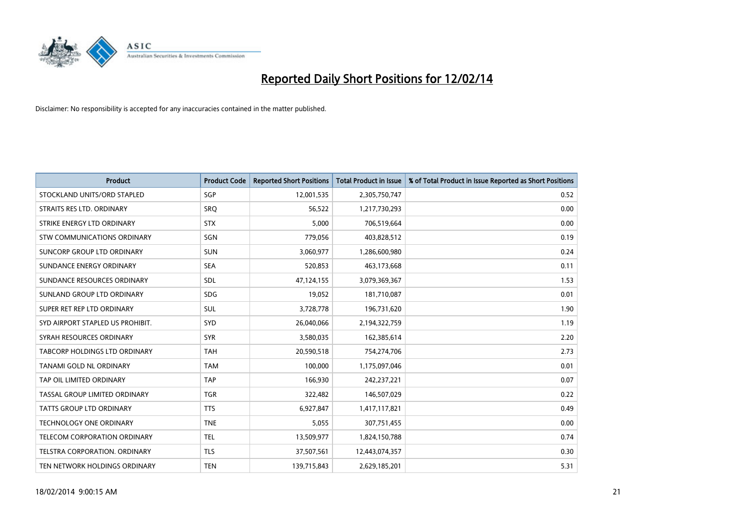

| <b>Product</b>                       | <b>Product Code</b> | <b>Reported Short Positions</b> | <b>Total Product in Issue</b> | % of Total Product in Issue Reported as Short Positions |
|--------------------------------------|---------------------|---------------------------------|-------------------------------|---------------------------------------------------------|
| STOCKLAND UNITS/ORD STAPLED          | SGP                 | 12,001,535                      | 2,305,750,747                 | 0.52                                                    |
| STRAITS RES LTD. ORDINARY            | SRO                 | 56,522                          | 1,217,730,293                 | 0.00                                                    |
| STRIKE ENERGY LTD ORDINARY           | <b>STX</b>          | 5,000                           | 706,519,664                   | 0.00                                                    |
| STW COMMUNICATIONS ORDINARY          | SGN                 | 779,056                         | 403,828,512                   | 0.19                                                    |
| <b>SUNCORP GROUP LTD ORDINARY</b>    | <b>SUN</b>          | 3,060,977                       | 1,286,600,980                 | 0.24                                                    |
| SUNDANCE ENERGY ORDINARY             | <b>SEA</b>          | 520,853                         | 463,173,668                   | 0.11                                                    |
| SUNDANCE RESOURCES ORDINARY          | SDL                 | 47,124,155                      | 3,079,369,367                 | 1.53                                                    |
| SUNLAND GROUP LTD ORDINARY           | <b>SDG</b>          | 19,052                          | 181,710,087                   | 0.01                                                    |
| SUPER RET REP LTD ORDINARY           | SUL                 | 3,728,778                       | 196,731,620                   | 1.90                                                    |
| SYD AIRPORT STAPLED US PROHIBIT.     | SYD                 | 26,040,066                      | 2,194,322,759                 | 1.19                                                    |
| SYRAH RESOURCES ORDINARY             | <b>SYR</b>          | 3,580,035                       | 162,385,614                   | 2.20                                                    |
| <b>TABCORP HOLDINGS LTD ORDINARY</b> | <b>TAH</b>          | 20,590,518                      | 754,274,706                   | 2.73                                                    |
| TANAMI GOLD NL ORDINARY              | <b>TAM</b>          | 100,000                         | 1,175,097,046                 | 0.01                                                    |
| TAP OIL LIMITED ORDINARY             | <b>TAP</b>          | 166,930                         | 242,237,221                   | 0.07                                                    |
| TASSAL GROUP LIMITED ORDINARY        | <b>TGR</b>          | 322,482                         | 146,507,029                   | 0.22                                                    |
| <b>TATTS GROUP LTD ORDINARY</b>      | <b>TTS</b>          | 6,927,847                       | 1,417,117,821                 | 0.49                                                    |
| <b>TECHNOLOGY ONE ORDINARY</b>       | <b>TNE</b>          | 5,055                           | 307,751,455                   | 0.00                                                    |
| TELECOM CORPORATION ORDINARY         | <b>TEL</b>          | 13,509,977                      | 1,824,150,788                 | 0.74                                                    |
| TELSTRA CORPORATION, ORDINARY        | <b>TLS</b>          | 37,507,561                      | 12,443,074,357                | 0.30                                                    |
| TEN NETWORK HOLDINGS ORDINARY        | <b>TEN</b>          | 139,715,843                     | 2,629,185,201                 | 5.31                                                    |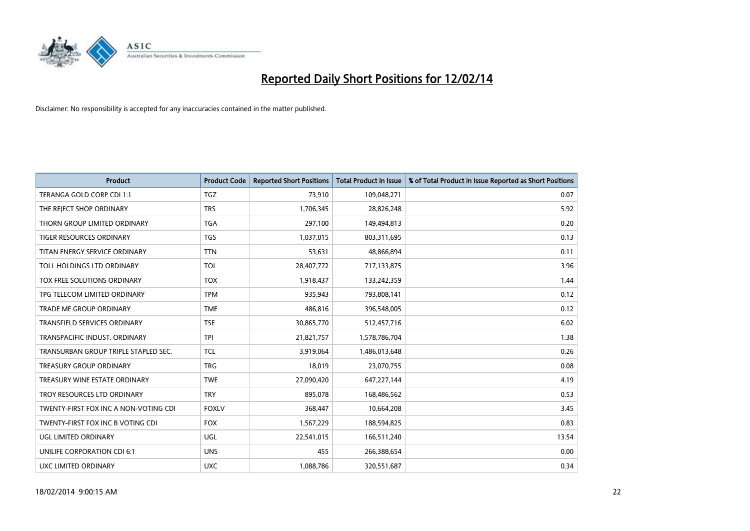

| <b>Product</b>                        | <b>Product Code</b> | <b>Reported Short Positions</b> | <b>Total Product in Issue</b> | % of Total Product in Issue Reported as Short Positions |
|---------------------------------------|---------------------|---------------------------------|-------------------------------|---------------------------------------------------------|
| TERANGA GOLD CORP CDI 1:1             | <b>TGZ</b>          | 73,910                          | 109,048,271                   | 0.07                                                    |
| THE REJECT SHOP ORDINARY              | <b>TRS</b>          | 1,706,345                       | 28,826,248                    | 5.92                                                    |
| THORN GROUP LIMITED ORDINARY          | <b>TGA</b>          | 297,100                         | 149,494,813                   | 0.20                                                    |
| TIGER RESOURCES ORDINARY              | <b>TGS</b>          | 1,037,015                       | 803,311,695                   | 0.13                                                    |
| TITAN ENERGY SERVICE ORDINARY         | <b>TTN</b>          | 53,631                          | 48,866,894                    | 0.11                                                    |
| TOLL HOLDINGS LTD ORDINARY            | <b>TOL</b>          | 28,407,772                      | 717,133,875                   | 3.96                                                    |
| TOX FREE SOLUTIONS ORDINARY           | <b>TOX</b>          | 1,918,437                       | 133,242,359                   | 1.44                                                    |
| TPG TELECOM LIMITED ORDINARY          | <b>TPM</b>          | 935,943                         | 793,808,141                   | 0.12                                                    |
| <b>TRADE ME GROUP ORDINARY</b>        | <b>TME</b>          | 486,816                         | 396,548,005                   | 0.12                                                    |
| <b>TRANSFIELD SERVICES ORDINARY</b>   | <b>TSE</b>          | 30,865,770                      | 512,457,716                   | 6.02                                                    |
| TRANSPACIFIC INDUST. ORDINARY         | <b>TPI</b>          | 21,821,757                      | 1,578,786,704                 | 1.38                                                    |
| TRANSURBAN GROUP TRIPLE STAPLED SEC.  | TCL                 | 3,919,064                       | 1,486,013,648                 | 0.26                                                    |
| TREASURY GROUP ORDINARY               | <b>TRG</b>          | 18,019                          | 23,070,755                    | 0.08                                                    |
| TREASURY WINE ESTATE ORDINARY         | <b>TWE</b>          | 27,090,420                      | 647,227,144                   | 4.19                                                    |
| TROY RESOURCES LTD ORDINARY           | <b>TRY</b>          | 895,078                         | 168,486,562                   | 0.53                                                    |
| TWENTY-FIRST FOX INC A NON-VOTING CDI | <b>FOXLV</b>        | 368,447                         | 10,664,208                    | 3.45                                                    |
| TWENTY-FIRST FOX INC B VOTING CDI     | <b>FOX</b>          | 1,567,229                       | 188,594,825                   | 0.83                                                    |
| UGL LIMITED ORDINARY                  | <b>UGL</b>          | 22,541,015                      | 166,511,240                   | 13.54                                                   |
| UNILIFE CORPORATION CDI 6:1           | <b>UNS</b>          | 455                             | 266,388,654                   | 0.00                                                    |
| <b>UXC LIMITED ORDINARY</b>           | <b>UXC</b>          | 1,088,786                       | 320,551,687                   | 0.34                                                    |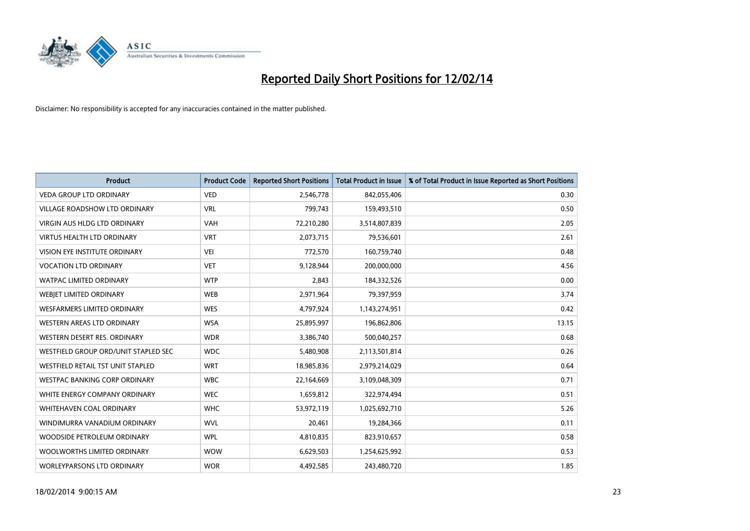

| <b>Product</b>                       | <b>Product Code</b> | <b>Reported Short Positions</b> | <b>Total Product in Issue</b> | % of Total Product in Issue Reported as Short Positions |
|--------------------------------------|---------------------|---------------------------------|-------------------------------|---------------------------------------------------------|
| <b>VEDA GROUP LTD ORDINARY</b>       | <b>VED</b>          | 2,546,778                       | 842,055,406                   | 0.30                                                    |
| VILLAGE ROADSHOW LTD ORDINARY        | <b>VRL</b>          | 799,743                         | 159,493,510                   | 0.50                                                    |
| <b>VIRGIN AUS HLDG LTD ORDINARY</b>  | <b>VAH</b>          | 72,210,280                      | 3,514,807,839                 | 2.05                                                    |
| <b>VIRTUS HEALTH LTD ORDINARY</b>    | <b>VRT</b>          | 2,073,715                       | 79,536,601                    | 2.61                                                    |
| <b>VISION EYE INSTITUTE ORDINARY</b> | <b>VEI</b>          | 772,570                         | 160,759,740                   | 0.48                                                    |
| <b>VOCATION LTD ORDINARY</b>         | <b>VET</b>          | 9,128,944                       | 200,000,000                   | 4.56                                                    |
| <b>WATPAC LIMITED ORDINARY</b>       | <b>WTP</b>          | 2,843                           | 184,332,526                   | 0.00                                                    |
| WEBIET LIMITED ORDINARY              | <b>WEB</b>          | 2,971,964                       | 79,397,959                    | 3.74                                                    |
| WESFARMERS LIMITED ORDINARY          | <b>WES</b>          | 4,797,924                       | 1,143,274,951                 | 0.42                                                    |
| WESTERN AREAS LTD ORDINARY           | <b>WSA</b>          | 25,895,997                      | 196,862,806                   | 13.15                                                   |
| WESTERN DESERT RES. ORDINARY         | <b>WDR</b>          | 3,386,740                       | 500,040,257                   | 0.68                                                    |
| WESTFIELD GROUP ORD/UNIT STAPLED SEC | <b>WDC</b>          | 5,480,908                       | 2,113,501,814                 | 0.26                                                    |
| WESTFIELD RETAIL TST UNIT STAPLED    | <b>WRT</b>          | 18,985,836                      | 2,979,214,029                 | 0.64                                                    |
| <b>WESTPAC BANKING CORP ORDINARY</b> | <b>WBC</b>          | 22,164,669                      | 3,109,048,309                 | 0.71                                                    |
| WHITE ENERGY COMPANY ORDINARY        | <b>WEC</b>          | 1,659,812                       | 322,974,494                   | 0.51                                                    |
| <b>WHITEHAVEN COAL ORDINARY</b>      | <b>WHC</b>          | 53,972,119                      | 1,025,692,710                 | 5.26                                                    |
| WINDIMURRA VANADIUM ORDINARY         | <b>WVL</b>          | 20,461                          | 19,284,366                    | 0.11                                                    |
| WOODSIDE PETROLEUM ORDINARY          | <b>WPL</b>          | 4,810,835                       | 823,910,657                   | 0.58                                                    |
| WOOLWORTHS LIMITED ORDINARY          | <b>WOW</b>          | 6,629,503                       | 1,254,625,992                 | 0.53                                                    |
| <b>WORLEYPARSONS LTD ORDINARY</b>    | <b>WOR</b>          | 4,492,585                       | 243,480,720                   | 1.85                                                    |